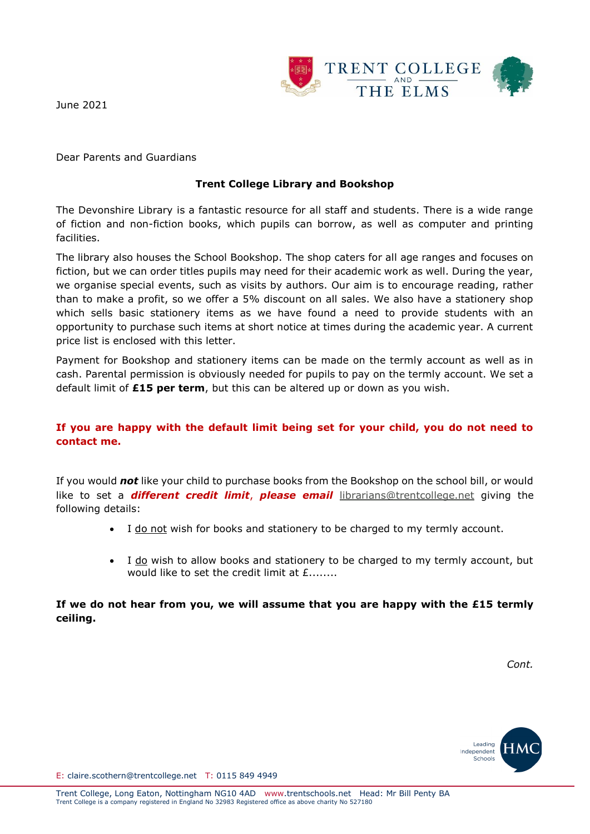

June 2021

Dear Parents and Guardians

## **Trent College Library and Bookshop**

The Devonshire Library is a fantastic resource for all staff and students. There is a wide range of fiction and non-fiction books, which pupils can borrow, as well as computer and printing facilities.

The library also houses the School Bookshop. The shop caters for all age ranges and focuses on fiction, but we can order titles pupils may need for their academic work as well. During the year, we organise special events, such as visits by authors. Our aim is to encourage reading, rather than to make a profit, so we offer a 5% discount on all sales. We also have a stationery shop which sells basic stationery items as we have found a need to provide students with an opportunity to purchase such items at short notice at times during the academic year. A current price list is enclosed with this letter.

Payment for Bookshop and stationery items can be made on the termly account as well as in cash. Parental permission is obviously needed for pupils to pay on the termly account. We set a default limit of **£15 per term**, but this can be altered up or down as you wish.

## **If you are happy with the default limit being set for your child, you do not need to contact me.**

If you would *not* like your child to purchase books from the Bookshop on the school bill, or would like to set a *different credit limit*, *please email* [librarians@trentcollege.net](mailto:librarians@trentcollege.net) giving the following details:

- I do not wish for books and stationery to be charged to my termly account.
- I do wish to allow books and stationery to be charged to my termly account, but would like to set the credit limit at  $f$ .......

**If we do not hear from you, we will assume that you are happy with the £15 termly ceiling.**

*Cont.*



E: claire.scothern@trentcollege.net T: 0115 849 4949